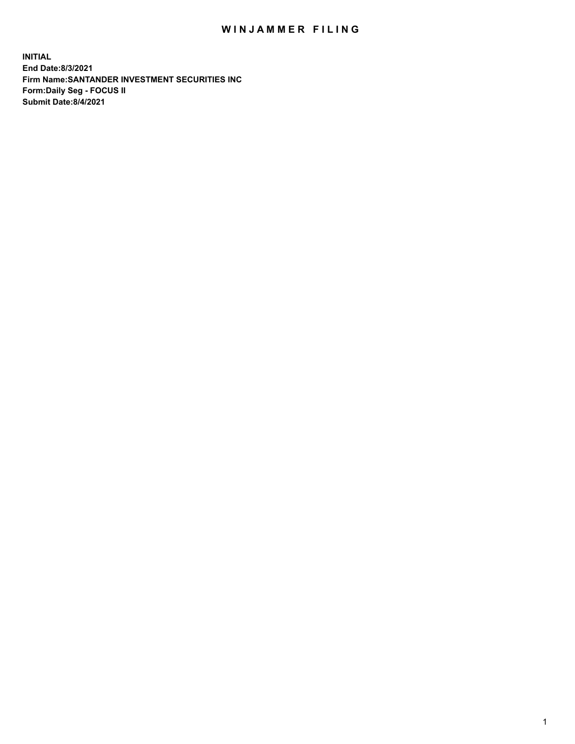## WIN JAMMER FILING

**INITIAL End Date:8/3/2021 Firm Name:SANTANDER INVESTMENT SECURITIES INC Form:Daily Seg - FOCUS II Submit Date:8/4/2021**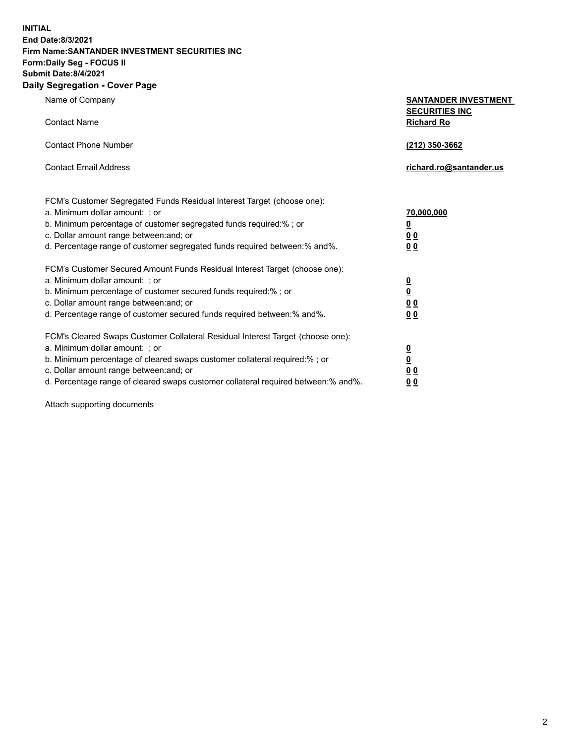**INITIAL End Date:8/3/2021 Firm Name:SANTANDER INVESTMENT SECURITIES INC Form:Daily Seg - FOCUS II Submit Date:8/4/2021 Daily Segregation - Cover Page**

Name of Company **SANTANDER INVESTMENT SECURITIES INC** Contact Name **Richard Ro** Contact Phone Number **(212) 350-3662** Contact Email Address **richard.ro@santander.us** FCM's Customer Segregated Funds Residual Interest Target (choose one): a. Minimum dollar amount: ; or **70,000,000** b. Minimum percentage of customer segregated funds required:% ; or **0** c. Dollar amount range between:and; or **0 0** d. Percentage range of customer segregated funds required between:% and%. **0 0** FCM's Customer Secured Amount Funds Residual Interest Target (choose one): a. Minimum dollar amount: ; or **0** b. Minimum percentage of customer secured funds required:% ; or **0** c. Dollar amount range between:and; or **0 0** d. Percentage range of customer secured funds required between:% and%. **0 0** FCM's Cleared Swaps Customer Collateral Residual Interest Target (choose one): a. Minimum dollar amount: ; or **0** b. Minimum percentage of cleared swaps customer collateral required:% ; or **0** c. Dollar amount range between:and; or **0 0**

d. Percentage range of cleared swaps customer collateral required between:% and%. **0 0**

Attach supporting documents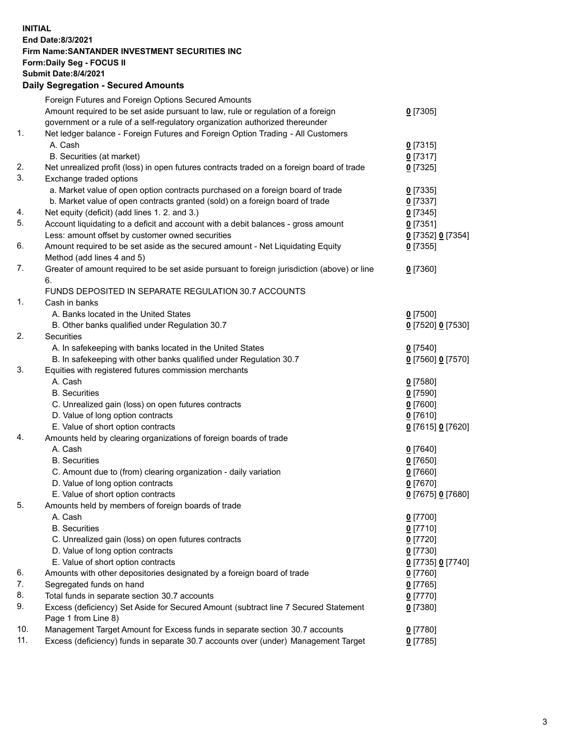## **INITIAL End Date:8/3/2021 Firm Name:SANTANDER INVESTMENT SECURITIES INC Form:Daily Seg - FOCUS II Submit Date:8/4/2021 Daily Segregation - Secured Amounts** Foreign Futures and Foreign Options Secured Amounts

|     | Amount required to be set aside pursuant to law, rule or regulation of a foreign<br>government or a rule of a self-regulatory organization authorized thereunder | $0$ [7305]        |
|-----|------------------------------------------------------------------------------------------------------------------------------------------------------------------|-------------------|
| 1.  | Net ledger balance - Foreign Futures and Foreign Option Trading - All Customers                                                                                  |                   |
|     | A. Cash                                                                                                                                                          | $0$ [7315]        |
|     | B. Securities (at market)                                                                                                                                        | $0$ [7317]        |
| 2.  | Net unrealized profit (loss) in open futures contracts traded on a foreign board of trade                                                                        | $0$ [7325]        |
| 3.  | Exchange traded options                                                                                                                                          |                   |
|     | a. Market value of open option contracts purchased on a foreign board of trade                                                                                   | $0$ [7335]        |
|     | b. Market value of open contracts granted (sold) on a foreign board of trade                                                                                     | $0$ [7337]        |
| 4.  | Net equity (deficit) (add lines 1. 2. and 3.)                                                                                                                    | $0$ [7345]        |
| 5.  | Account liquidating to a deficit and account with a debit balances - gross amount                                                                                | $0$ [7351]        |
|     | Less: amount offset by customer owned securities                                                                                                                 | 0 [7352] 0 [7354] |
| 6.  | Amount required to be set aside as the secured amount - Net Liquidating Equity                                                                                   | $0$ [7355]        |
|     | Method (add lines 4 and 5)                                                                                                                                       |                   |
| 7.  | Greater of amount required to be set aside pursuant to foreign jurisdiction (above) or line<br>6.                                                                | $0$ [7360]        |
|     | FUNDS DEPOSITED IN SEPARATE REGULATION 30.7 ACCOUNTS                                                                                                             |                   |
| 1.  | Cash in banks                                                                                                                                                    |                   |
|     | A. Banks located in the United States                                                                                                                            | $0$ [7500]        |
|     | B. Other banks qualified under Regulation 30.7                                                                                                                   | 0 [7520] 0 [7530] |
| 2.  | Securities                                                                                                                                                       |                   |
|     | A. In safekeeping with banks located in the United States                                                                                                        | $0$ [7540]        |
|     | B. In safekeeping with other banks qualified under Regulation 30.7                                                                                               | 0 [7560] 0 [7570] |
| 3.  | Equities with registered futures commission merchants                                                                                                            |                   |
|     | A. Cash                                                                                                                                                          | $0$ [7580]        |
|     | <b>B.</b> Securities                                                                                                                                             | <u>0</u> [7590]   |
|     | C. Unrealized gain (loss) on open futures contracts                                                                                                              | $0$ [7600]        |
|     | D. Value of long option contracts                                                                                                                                | $0$ [7610]        |
|     | E. Value of short option contracts                                                                                                                               | 0 [7615] 0 [7620] |
| 4.  | Amounts held by clearing organizations of foreign boards of trade                                                                                                |                   |
|     | A. Cash                                                                                                                                                          | $0$ [7640]        |
|     | <b>B.</b> Securities                                                                                                                                             | <u>0</u> [7650]   |
|     | C. Amount due to (from) clearing organization - daily variation                                                                                                  | $0$ [7660]        |
|     | D. Value of long option contracts                                                                                                                                | $0$ [7670]        |
|     | E. Value of short option contracts                                                                                                                               | 0 [7675] 0 [7680] |
| 5.  | Amounts held by members of foreign boards of trade                                                                                                               |                   |
|     | A. Cash                                                                                                                                                          | $0$ [7700]        |
|     | <b>B.</b> Securities                                                                                                                                             | $0$ [7710]        |
|     | C. Unrealized gain (loss) on open futures contracts                                                                                                              | $0$ [7720]        |
|     | D. Value of long option contracts                                                                                                                                | $0$ [7730]        |
|     | E. Value of short option contracts                                                                                                                               | 0 [7735] 0 [7740] |
| 6.  | Amounts with other depositories designated by a foreign board of trade                                                                                           | 0 [7760]          |
| 7.  | Segregated funds on hand                                                                                                                                         | $0$ [7765]        |
| 8.  | Total funds in separate section 30.7 accounts                                                                                                                    | $0$ [7770]        |
| 9.  | Excess (deficiency) Set Aside for Secured Amount (subtract line 7 Secured Statement                                                                              | $0$ [7380]        |
|     | Page 1 from Line 8)                                                                                                                                              |                   |
| 10. | Management Target Amount for Excess funds in separate section 30.7 accounts                                                                                      | $0$ [7780]        |
| 11. | Excess (deficiency) funds in separate 30.7 accounts over (under) Management Target                                                                               | $0$ [7785]        |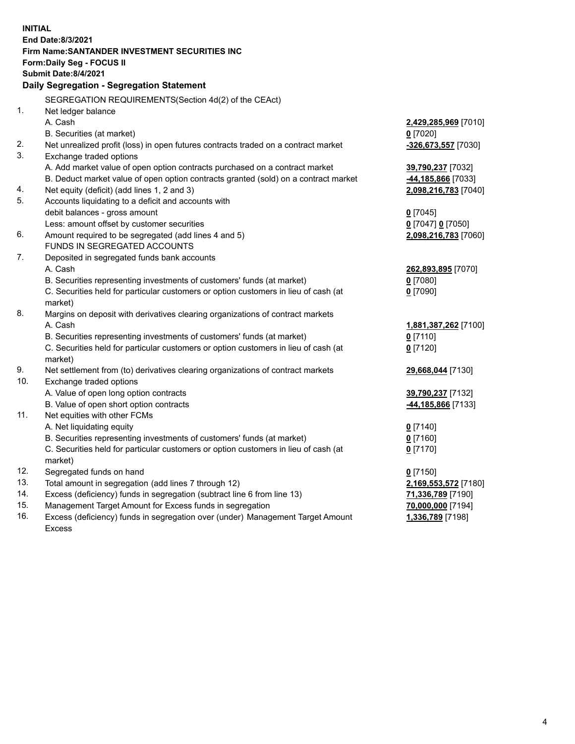| Daily Segregation - Segregation Statement<br>SEGREGATION REQUIREMENTS(Section 4d(2) of the CEAct)<br>1.<br>Net ledger balance<br>A. Cash<br>2,429,285,969 [7010]<br>B. Securities (at market)<br>$0$ [7020]<br>2.<br>Net unrealized profit (loss) in open futures contracts traded on a contract market<br>-326,673,557 [7030]<br>3.<br>Exchange traded options<br>A. Add market value of open option contracts purchased on a contract market<br>39,790,237 [7032]<br>B. Deduct market value of open option contracts granted (sold) on a contract market<br>-44,185,866 [7033]<br>4.<br>Net equity (deficit) (add lines 1, 2 and 3)<br>2,098,216,783 [7040]<br>5.<br>Accounts liquidating to a deficit and accounts with<br>debit balances - gross amount<br>$0$ [7045]<br>Less: amount offset by customer securities<br>$0$ [7047] $0$ [7050]<br>6.<br>Amount required to be segregated (add lines 4 and 5)<br>2,098,216,783 [7060]<br>FUNDS IN SEGREGATED ACCOUNTS<br>7.<br>Deposited in segregated funds bank accounts<br>A. Cash<br>262,893,895 [7070] |
|--------------------------------------------------------------------------------------------------------------------------------------------------------------------------------------------------------------------------------------------------------------------------------------------------------------------------------------------------------------------------------------------------------------------------------------------------------------------------------------------------------------------------------------------------------------------------------------------------------------------------------------------------------------------------------------------------------------------------------------------------------------------------------------------------------------------------------------------------------------------------------------------------------------------------------------------------------------------------------------------------------------------------------------------------------------|
|                                                                                                                                                                                                                                                                                                                                                                                                                                                                                                                                                                                                                                                                                                                                                                                                                                                                                                                                                                                                                                                              |
|                                                                                                                                                                                                                                                                                                                                                                                                                                                                                                                                                                                                                                                                                                                                                                                                                                                                                                                                                                                                                                                              |
|                                                                                                                                                                                                                                                                                                                                                                                                                                                                                                                                                                                                                                                                                                                                                                                                                                                                                                                                                                                                                                                              |
|                                                                                                                                                                                                                                                                                                                                                                                                                                                                                                                                                                                                                                                                                                                                                                                                                                                                                                                                                                                                                                                              |
|                                                                                                                                                                                                                                                                                                                                                                                                                                                                                                                                                                                                                                                                                                                                                                                                                                                                                                                                                                                                                                                              |
|                                                                                                                                                                                                                                                                                                                                                                                                                                                                                                                                                                                                                                                                                                                                                                                                                                                                                                                                                                                                                                                              |
|                                                                                                                                                                                                                                                                                                                                                                                                                                                                                                                                                                                                                                                                                                                                                                                                                                                                                                                                                                                                                                                              |
|                                                                                                                                                                                                                                                                                                                                                                                                                                                                                                                                                                                                                                                                                                                                                                                                                                                                                                                                                                                                                                                              |
|                                                                                                                                                                                                                                                                                                                                                                                                                                                                                                                                                                                                                                                                                                                                                                                                                                                                                                                                                                                                                                                              |
|                                                                                                                                                                                                                                                                                                                                                                                                                                                                                                                                                                                                                                                                                                                                                                                                                                                                                                                                                                                                                                                              |
|                                                                                                                                                                                                                                                                                                                                                                                                                                                                                                                                                                                                                                                                                                                                                                                                                                                                                                                                                                                                                                                              |
|                                                                                                                                                                                                                                                                                                                                                                                                                                                                                                                                                                                                                                                                                                                                                                                                                                                                                                                                                                                                                                                              |
|                                                                                                                                                                                                                                                                                                                                                                                                                                                                                                                                                                                                                                                                                                                                                                                                                                                                                                                                                                                                                                                              |
|                                                                                                                                                                                                                                                                                                                                                                                                                                                                                                                                                                                                                                                                                                                                                                                                                                                                                                                                                                                                                                                              |
|                                                                                                                                                                                                                                                                                                                                                                                                                                                                                                                                                                                                                                                                                                                                                                                                                                                                                                                                                                                                                                                              |
|                                                                                                                                                                                                                                                                                                                                                                                                                                                                                                                                                                                                                                                                                                                                                                                                                                                                                                                                                                                                                                                              |
| B. Securities representing investments of customers' funds (at market)<br>$0$ [7080]                                                                                                                                                                                                                                                                                                                                                                                                                                                                                                                                                                                                                                                                                                                                                                                                                                                                                                                                                                         |
| C. Securities held for particular customers or option customers in lieu of cash (at<br>$0$ [7090]                                                                                                                                                                                                                                                                                                                                                                                                                                                                                                                                                                                                                                                                                                                                                                                                                                                                                                                                                            |
| market)                                                                                                                                                                                                                                                                                                                                                                                                                                                                                                                                                                                                                                                                                                                                                                                                                                                                                                                                                                                                                                                      |
| 8.<br>Margins on deposit with derivatives clearing organizations of contract markets                                                                                                                                                                                                                                                                                                                                                                                                                                                                                                                                                                                                                                                                                                                                                                                                                                                                                                                                                                         |
| A. Cash<br>1,881,387,262 [7100]                                                                                                                                                                                                                                                                                                                                                                                                                                                                                                                                                                                                                                                                                                                                                                                                                                                                                                                                                                                                                              |
| B. Securities representing investments of customers' funds (at market)<br>$0$ [7110]                                                                                                                                                                                                                                                                                                                                                                                                                                                                                                                                                                                                                                                                                                                                                                                                                                                                                                                                                                         |
| C. Securities held for particular customers or option customers in lieu of cash (at<br>$0$ [7120]                                                                                                                                                                                                                                                                                                                                                                                                                                                                                                                                                                                                                                                                                                                                                                                                                                                                                                                                                            |
| market)                                                                                                                                                                                                                                                                                                                                                                                                                                                                                                                                                                                                                                                                                                                                                                                                                                                                                                                                                                                                                                                      |
| 9.<br>Net settlement from (to) derivatives clearing organizations of contract markets<br>29,668,044 [7130]                                                                                                                                                                                                                                                                                                                                                                                                                                                                                                                                                                                                                                                                                                                                                                                                                                                                                                                                                   |
| 10.<br>Exchange traded options                                                                                                                                                                                                                                                                                                                                                                                                                                                                                                                                                                                                                                                                                                                                                                                                                                                                                                                                                                                                                               |
| A. Value of open long option contracts<br>39,790,237 [7132]                                                                                                                                                                                                                                                                                                                                                                                                                                                                                                                                                                                                                                                                                                                                                                                                                                                                                                                                                                                                  |
| B. Value of open short option contracts<br>44, 185, 866 [7133]                                                                                                                                                                                                                                                                                                                                                                                                                                                                                                                                                                                                                                                                                                                                                                                                                                                                                                                                                                                               |
| 11.<br>Net equities with other FCMs                                                                                                                                                                                                                                                                                                                                                                                                                                                                                                                                                                                                                                                                                                                                                                                                                                                                                                                                                                                                                          |
| A. Net liquidating equity<br>$0$ [7140]                                                                                                                                                                                                                                                                                                                                                                                                                                                                                                                                                                                                                                                                                                                                                                                                                                                                                                                                                                                                                      |
| B. Securities representing investments of customers' funds (at market)<br>$0$ [7160]                                                                                                                                                                                                                                                                                                                                                                                                                                                                                                                                                                                                                                                                                                                                                                                                                                                                                                                                                                         |
| C. Securities held for particular customers or option customers in lieu of cash (at<br>$0$ [7170]                                                                                                                                                                                                                                                                                                                                                                                                                                                                                                                                                                                                                                                                                                                                                                                                                                                                                                                                                            |
| market)                                                                                                                                                                                                                                                                                                                                                                                                                                                                                                                                                                                                                                                                                                                                                                                                                                                                                                                                                                                                                                                      |
| 12.<br>Segregated funds on hand<br>$0$ [7150]                                                                                                                                                                                                                                                                                                                                                                                                                                                                                                                                                                                                                                                                                                                                                                                                                                                                                                                                                                                                                |
| 13.<br>Total amount in segregation (add lines 7 through 12)<br>2,169,553,572 [7180]<br>14.                                                                                                                                                                                                                                                                                                                                                                                                                                                                                                                                                                                                                                                                                                                                                                                                                                                                                                                                                                   |
| Excess (deficiency) funds in segregation (subtract line 6 from line 13)<br>71,336,789 [7190]<br>15.                                                                                                                                                                                                                                                                                                                                                                                                                                                                                                                                                                                                                                                                                                                                                                                                                                                                                                                                                          |
| Management Target Amount for Excess funds in segregation<br>70,000,000 [7194]<br>16.<br>Excess (deficiency) funds in segregation over (under) Management Target Amount<br>1,336,789 [7198]                                                                                                                                                                                                                                                                                                                                                                                                                                                                                                                                                                                                                                                                                                                                                                                                                                                                   |
| <b>Excess</b>                                                                                                                                                                                                                                                                                                                                                                                                                                                                                                                                                                                                                                                                                                                                                                                                                                                                                                                                                                                                                                                |